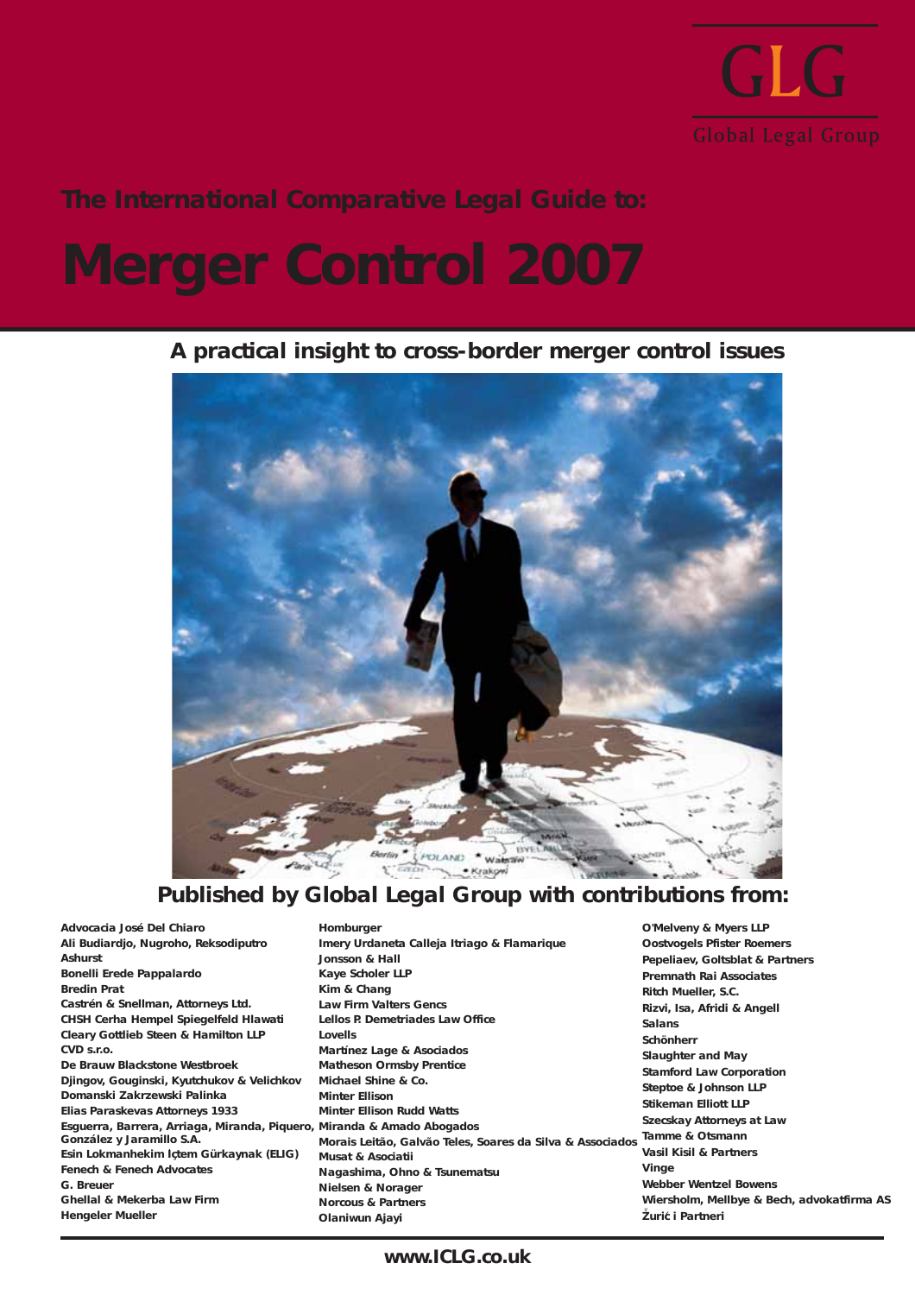

## **The International Comparative Legal Guide to:**

## **Merger Control 2007**

### **A practical insight to cross-border merger control issues**



## **Published by Global Legal Group with contributions from:**

**Advocacia José Del Chiaro Ali Budiardjo, Nugroho, Reksodiputro Ashurst Bonelli Erede Pappalardo Bredin Prat Castrén & Snellman, Attorneys Ltd. CHSH Cerha Hempel Spiegelfeld Hlawati Cleary Gottlieb Steen & Hamilton LLP CVD s.r.o. De Brauw Blackstone Westbroek Djingov, Gouginski, Kyutchukov & Velichkov Domanski Zakrzewski Palinka Elias Paraskevas Attorneys 1933 Esguerra, Barrera, Arriaga, Miranda, Piquero, Miranda & Amado Abogados González y Jaramillo S.A. Esin Lokmanhekim Içtem Gürkaynak (ELIG)** .**Fenech & Fenech Advocates G. Breuer Ghellal & Mekerba Law Firm Hengeler Mueller**

**Homburger Imery Urdaneta Calleja Itriago & Flamarique Jonsson & Hall Kaye Scholer LLP Kim & Chang Law Firm Valters Gencs Lellos P. Demetriades Law Office Lovells Martínez Lage & Asociados Matheson Ormsby Prentice Michael Shine & Co. Minter Ellison Minter Ellison Rudd Watts Morais Leitão, Galvão Teles, Soares da Silva & Associados Tamme & Otsmann Musat & Asociatii Nagashima, Ohno & Tsunematsu Nielsen & Norager Norcous & Partners Olaniwun Ajayi**

**O'Melveny & Myers LLP Oostvogels Pfister Roemers Pepeliaev, Goltsblat & Partners Premnath Rai Associates Ritch Mueller, S.C. Rizvi, Isa, Afridi & Angell Salans Schönherr Slaughter and May Stamford Law Corporation Steptoe & Johnson LLP Stikeman Elliott LLP Szecskay Attorneys at Law Vasil Kisil & Partners Vinge Webber Wentzel Bowens Wiersholm, Mellbye & Bech, advokatfirma AS Zuric i Partneri** v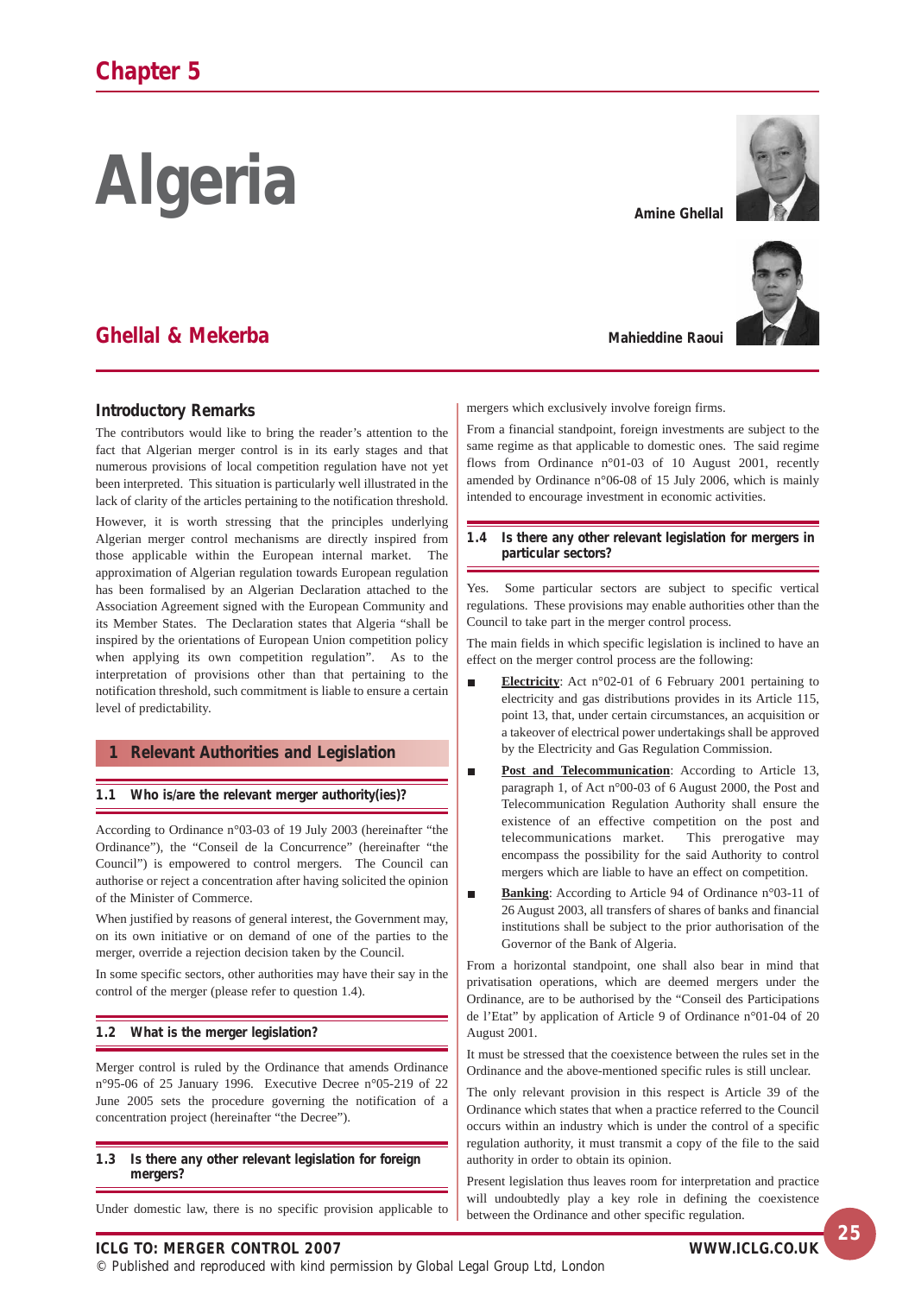# **Algeria**

## **Ghellal & Mekerba**

#### **Introductory Remarks**

The contributors would like to bring the reader's attention to the fact that Algerian merger control is in its early stages and that numerous provisions of local competition regulation have not yet been interpreted. This situation is particularly well illustrated in the lack of clarity of the articles pertaining to the notification threshold.

However, it is worth stressing that the principles underlying Algerian merger control mechanisms are directly inspired from those applicable within the European internal market. The approximation of Algerian regulation towards European regulation has been formalised by an Algerian Declaration attached to the Association Agreement signed with the European Community and its Member States. The Declaration states that Algeria "shall be inspired by the orientations of European Union competition policy when applying its own competition regulation". As to the interpretation of provisions other than that pertaining to the notification threshold, such commitment is liable to ensure a certain level of predictability.

#### **1 Relevant Authorities and Legislation**

#### **1.1 Who is/are the relevant merger authority(ies)?**

According to Ordinance n°03-03 of 19 July 2003 (hereinafter "the Ordinance"), the "Conseil de la Concurrence" (hereinafter "the Council") is empowered to control mergers. The Council can authorise or reject a concentration after having solicited the opinion of the Minister of Commerce.

When justified by reasons of general interest, the Government may, on its own initiative or on demand of one of the parties to the merger, override a rejection decision taken by the Council.

In some specific sectors, other authorities may have their say in the control of the merger (please refer to question 1.4).

#### **1.2 What is the merger legislation?**

Merger control is ruled by the Ordinance that amends Ordinance n°95-06 of 25 January 1996. Executive Decree n°05-219 of 22 June 2005 sets the procedure governing the notification of a concentration project (hereinafter "the Decree").

#### **1.3 Is there any other relevant legislation for foreign mergers?**

Under domestic law, there is no specific provision applicable to

**Amine Ghellal**



**Mahieddine Raoui** 

mergers which exclusively involve foreign firms.

From a financial standpoint, foreign investments are subject to the same regime as that applicable to domestic ones. The said regime flows from Ordinance n°01-03 of 10 August 2001, recently amended by Ordinance n°06-08 of 15 July 2006, which is mainly intended to encourage investment in economic activities.

**1.4 Is there any other relevant legislation for mergers in particular sectors?**

Yes. Some particular sectors are subject to specific vertical regulations. These provisions may enable authorities other than the Council to take part in the merger control process.

The main fields in which specific legislation is inclined to have an effect on the merger control process are the following:

- **Electricity**: Act n°02-01 of 6 February 2001 pertaining to electricity and gas distributions provides in its Article 115, point 13, that, under certain circumstances, an acquisition or a takeover of electrical power undertakings shall be approved by the Electricity and Gas Regulation Commission.
- Post and Telecommunication: According to Article 13, п paragraph 1, of Act n°00-03 of 6 August 2000, the Post and Telecommunication Regulation Authority shall ensure the existence of an effective competition on the post and telecommunications market. This prerogative may encompass the possibility for the said Authority to control mergers which are liable to have an effect on competition.
- **Banking**: According to Article 94 of Ordinance n°03-11 of п 26 August 2003, all transfers of shares of banks and financial institutions shall be subject to the prior authorisation of the Governor of the Bank of Algeria.

From a horizontal standpoint, one shall also bear in mind that privatisation operations, which are deemed mergers under the Ordinance, are to be authorised by the "Conseil des Participations de l'Etat" by application of Article 9 of Ordinance n°01-04 of 20 August 2001.

It must be stressed that the coexistence between the rules set in the Ordinance and the above-mentioned specific rules is still unclear.

The only relevant provision in this respect is Article 39 of the Ordinance which states that when a practice referred to the Council occurs within an industry which is under the control of a specific regulation authority, it must transmit a copy of the file to the said authority in order to obtain its opinion.

Present legislation thus leaves room for interpretation and practice will undoubtedly play a key role in defining the coexistence between the Ordinance and other specific regulation.

**ICLG TO: MERGER CONTROL 2007 WWW.ICLG.CO.UK**

© Published and reproduced with kind permission by Global Legal Group Ltd, London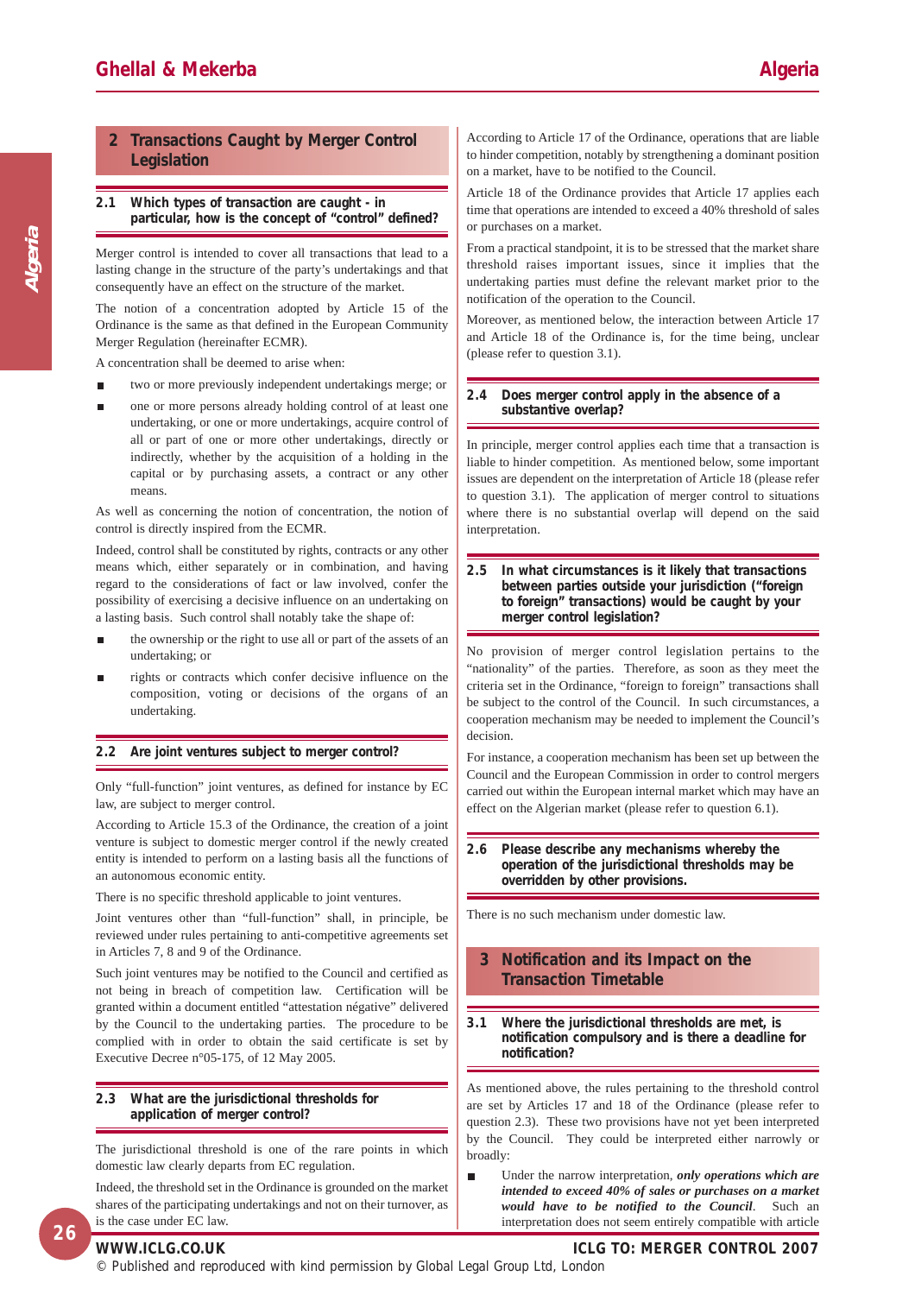**Algeria**

#### **2 Transactions Caught by Merger Control Legislation**

#### **2.1 Which types of transaction are caught - in particular, how is the concept of "control" defined?**

Merger control is intended to cover all transactions that lead to a lasting change in the structure of the party's undertakings and that consequently have an effect on the structure of the market.

The notion of a concentration adopted by Article 15 of the Ordinance is the same as that defined in the European Community Merger Regulation (hereinafter ECMR).

A concentration shall be deemed to arise when:

- two or more previously independent undertakings merge; or
- one or more persons already holding control of at least one undertaking, or one or more undertakings, acquire control of all or part of one or more other undertakings, directly or indirectly, whether by the acquisition of a holding in the capital or by purchasing assets, a contract or any other means.

As well as concerning the notion of concentration, the notion of control is directly inspired from the ECMR.

Indeed, control shall be constituted by rights, contracts or any other means which, either separately or in combination, and having regard to the considerations of fact or law involved, confer the possibility of exercising a decisive influence on an undertaking on a lasting basis. Such control shall notably take the shape of:

- the ownership or the right to use all or part of the assets of an undertaking; or
- rights or contracts which confer decisive influence on the composition, voting or decisions of the organs of an undertaking.

#### **2.2 Are joint ventures subject to merger control?**

Only "full-function" joint ventures, as defined for instance by EC law, are subject to merger control.

According to Article 15.3 of the Ordinance, the creation of a joint venture is subject to domestic merger control if the newly created entity is intended to perform on a lasting basis all the functions of an autonomous economic entity.

There is no specific threshold applicable to joint ventures.

Joint ventures other than "full-function" shall, in principle, be reviewed under rules pertaining to anti-competitive agreements set in Articles 7, 8 and 9 of the Ordinance.

Such joint ventures may be notified to the Council and certified as not being in breach of competition law. Certification will be granted within a document entitled "attestation négative" delivered by the Council to the undertaking parties. The procedure to be complied with in order to obtain the said certificate is set by Executive Decree n°05-175, of 12 May 2005.

#### **2.3 What are the jurisdictional thresholds for application of merger control?**

The jurisdictional threshold is one of the rare points in which domestic law clearly departs from EC regulation.

Indeed, the threshold set in the Ordinance is grounded on the market shares of the participating undertakings and not on their turnover, as is the case under EC law.

According to Article 17 of the Ordinance, operations that are liable to hinder competition, notably by strengthening a dominant position on a market, have to be notified to the Council.

Article 18 of the Ordinance provides that Article 17 applies each time that operations are intended to exceed a 40% threshold of sales or purchases on a market.

From a practical standpoint, it is to be stressed that the market share threshold raises important issues, since it implies that the undertaking parties must define the relevant market prior to the notification of the operation to the Council.

Moreover, as mentioned below, the interaction between Article 17 and Article 18 of the Ordinance is, for the time being, unclear (please refer to question 3.1).

#### **2.4 Does merger control apply in the absence of a substantive overlap?**

In principle, merger control applies each time that a transaction is liable to hinder competition. As mentioned below, some important issues are dependent on the interpretation of Article 18 (please refer to question 3.1). The application of merger control to situations where there is no substantial overlap will depend on the said interpretation.

#### **2.5 In what circumstances is it likely that transactions between parties outside your jurisdiction ("foreign to foreign" transactions) would be caught by your merger control legislation?**

No provision of merger control legislation pertains to the "nationality" of the parties. Therefore, as soon as they meet the criteria set in the Ordinance, "foreign to foreign" transactions shall be subject to the control of the Council. In such circumstances, a cooperation mechanism may be needed to implement the Council's decision.

For instance, a cooperation mechanism has been set up between the Council and the European Commission in order to control mergers carried out within the European internal market which may have an effect on the Algerian market (please refer to question 6.1).

#### **2.6 Please describe any mechanisms whereby the operation of the jurisdictional thresholds may be overridden by other provisions.**

There is no such mechanism under domestic law.

#### **3 Notification and its Impact on the Transaction Timetable**

#### **3.1 Where the jurisdictional thresholds are met, is notification compulsory and is there a deadline for notification?**

As mentioned above, the rules pertaining to the threshold control are set by Articles 17 and 18 of the Ordinance (please refer to question 2.3). These two provisions have not yet been interpreted by the Council. They could be interpreted either narrowly or broadly:

Under the narrow interpretation, *only operations which are intended to exceed 40% of sales or purchases on a market would have to be notified to the Council*. Such an interpretation does not seem entirely compatible with article

**26**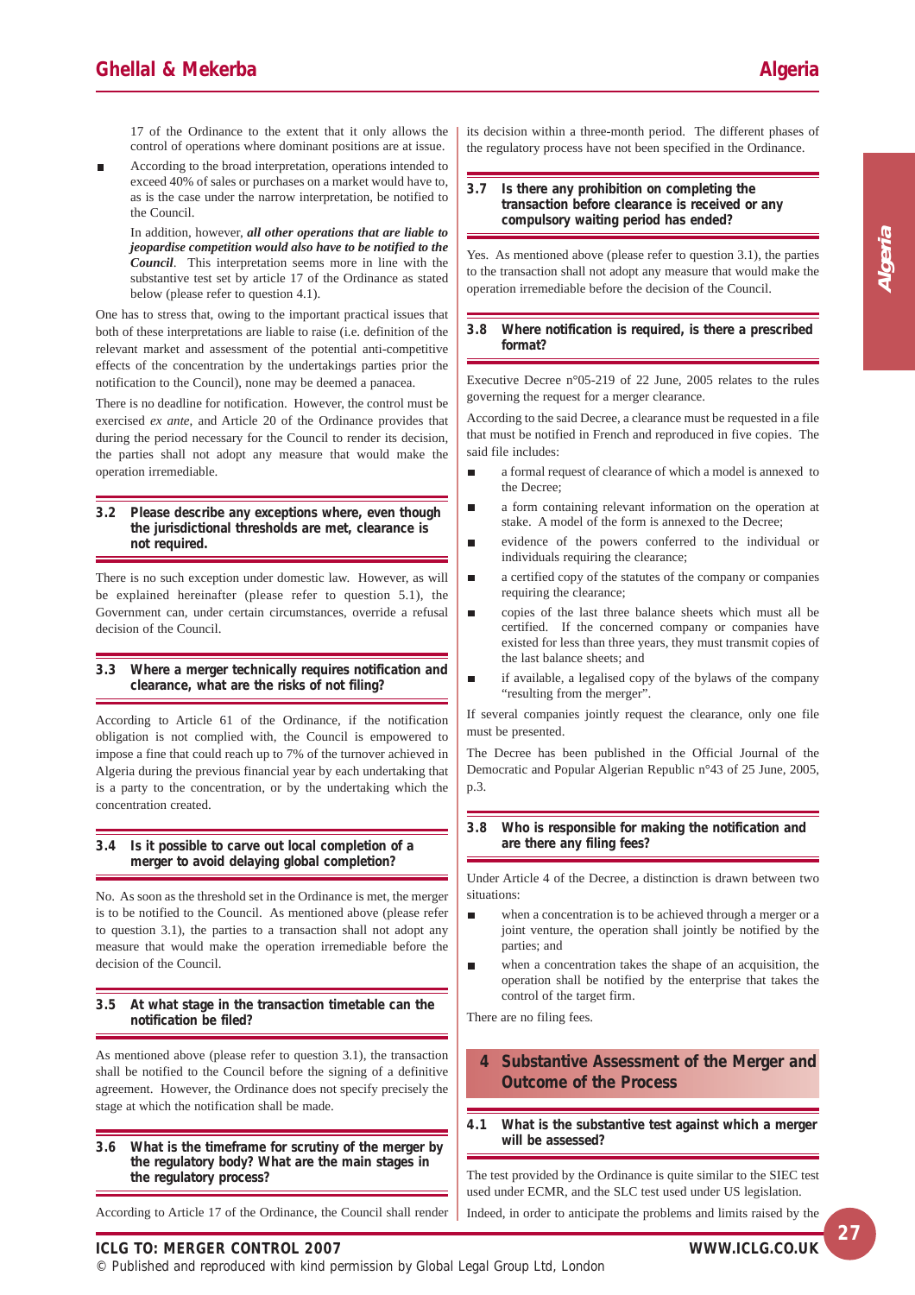**Algeria**

17 of the Ordinance to the extent that it only allows the control of operations where dominant positions are at issue.

According to the broad interpretation, operations intended to exceed 40% of sales or purchases on a market would have to, as is the case under the narrow interpretation, be notified to the Council.

In addition, however, *all other operations that are liable to jeopardise competition would also have to be notified to the Council*. This interpretation seems more in line with the substantive test set by article 17 of the Ordinance as stated below (please refer to question 4.1).

One has to stress that, owing to the important practical issues that both of these interpretations are liable to raise (i.e. definition of the relevant market and assessment of the potential anti-competitive effects of the concentration by the undertakings parties prior the notification to the Council), none may be deemed a panacea.

There is no deadline for notification. However, the control must be exercised *ex ante*, and Article 20 of the Ordinance provides that during the period necessary for the Council to render its decision, the parties shall not adopt any measure that would make the operation irremediable.

#### **3.2 Please describe any exceptions where, even though the jurisdictional thresholds are met, clearance is not required.**

There is no such exception under domestic law. However, as will be explained hereinafter (please refer to question 5.1), the Government can, under certain circumstances, override a refusal decision of the Council.

#### **3.3 Where a merger technically requires notification and clearance, what are the risks of not filing?**

According to Article 61 of the Ordinance, if the notification obligation is not complied with, the Council is empowered to impose a fine that could reach up to 7% of the turnover achieved in Algeria during the previous financial year by each undertaking that is a party to the concentration, or by the undertaking which the concentration created.

#### **3.4 Is it possible to carve out local completion of a merger to avoid delaying global completion?**

No. As soon as the threshold set in the Ordinance is met, the merger is to be notified to the Council. As mentioned above (please refer to question 3.1), the parties to a transaction shall not adopt any measure that would make the operation irremediable before the decision of the Council.

#### **3.5 At what stage in the transaction timetable can the notification be filed?**

As mentioned above (please refer to question 3.1), the transaction shall be notified to the Council before the signing of a definitive agreement. However, the Ordinance does not specify precisely the stage at which the notification shall be made.

**3.6 What is the timeframe for scrutiny of the merger by the regulatory body? What are the main stages in the regulatory process?**

According to Article 17 of the Ordinance, the Council shall render

its decision within a three-month period. The different phases of the regulatory process have not been specified in the Ordinance.

#### **3.7 Is there any prohibition on completing the transaction before clearance is received or any compulsory waiting period has ended?**

Yes. As mentioned above (please refer to question 3.1), the parties to the transaction shall not adopt any measure that would make the operation irremediable before the decision of the Council.

#### **3.8 Where notification is required, is there a prescribed format?**

Executive Decree n°05-219 of 22 June, 2005 relates to the rules governing the request for a merger clearance.

According to the said Decree, a clearance must be requested in a file that must be notified in French and reproduced in five copies. The said file includes:

- $\blacksquare$ a formal request of clearance of which a model is annexed to the Decree;
- a form containing relevant information on the operation at Н stake. A model of the form is annexed to the Decree;
- evidence of the powers conferred to the individual or individuals requiring the clearance;
- a certified copy of the statutes of the company or companies r. requiring the clearance;
- copies of the last three balance sheets which must all be certified. If the concerned company or companies have existed for less than three years, they must transmit copies of the last balance sheets; and
- Ē if available, a legalised copy of the bylaws of the company "resulting from the merger".

If several companies jointly request the clearance, only one file must be presented.

The Decree has been published in the Official Journal of the Democratic and Popular Algerian Republic n°43 of 25 June, 2005, p.3.

#### **3.8 Who is responsible for making the notification and are there any filing fees?**

Under Article 4 of the Decree, a distinction is drawn between two situations:

- when a concentration is to be achieved through a merger or a joint venture, the operation shall jointly be notified by the parties; and
- when a concentration takes the shape of an acquisition, the Ė operation shall be notified by the enterprise that takes the control of the target firm.

There are no filing fees.

#### **4 Substantive Assessment of the Merger and Outcome of the Process**

**4.1 What is the substantive test against which a merger will be assessed?**

The test provided by the Ordinance is quite similar to the SIEC test used under ECMR, and the SLC test used under US legislation.

Indeed, in order to anticipate the problems and limits raised by the

#### **ICLG TO: MERGER CONTROL 2007**

© Published and reproduced with kind permission by Global Legal Group Ltd, London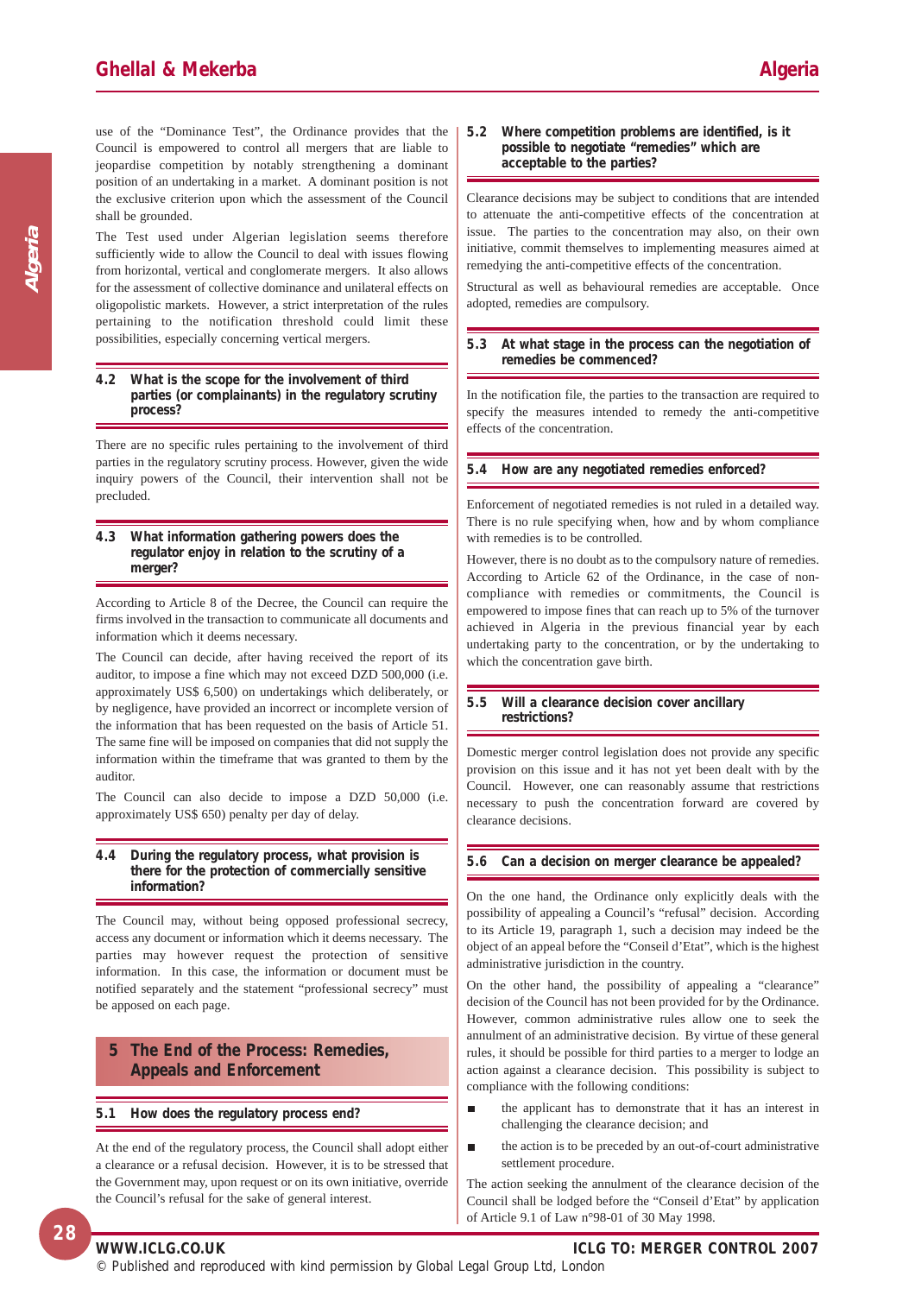use of the "Dominance Test", the Ordinance provides that the Council is empowered to control all mergers that are liable to jeopardise competition by notably strengthening a dominant position of an undertaking in a market. A dominant position is not the exclusive criterion upon which the assessment of the Council shall be grounded.

The Test used under Algerian legislation seems therefore sufficiently wide to allow the Council to deal with issues flowing from horizontal, vertical and conglomerate mergers. It also allows for the assessment of collective dominance and unilateral effects on oligopolistic markets. However, a strict interpretation of the rules pertaining to the notification threshold could limit these possibilities, especially concerning vertical mergers.

#### **4.2 What is the scope for the involvement of third parties (or complainants) in the regulatory scrutiny process?**

There are no specific rules pertaining to the involvement of third parties in the regulatory scrutiny process. However, given the wide inquiry powers of the Council, their intervention shall not be precluded.

#### **4.3 What information gathering powers does the regulator enjoy in relation to the scrutiny of a merger?**

According to Article 8 of the Decree, the Council can require the firms involved in the transaction to communicate all documents and information which it deems necessary.

The Council can decide, after having received the report of its auditor, to impose a fine which may not exceed DZD 500,000 (i.e. approximately US\$ 6,500) on undertakings which deliberately, or by negligence, have provided an incorrect or incomplete version of the information that has been requested on the basis of Article 51. The same fine will be imposed on companies that did not supply the information within the timeframe that was granted to them by the auditor.

The Council can also decide to impose a DZD 50,000 (i.e. approximately US\$ 650) penalty per day of delay.

#### **4.4 During the regulatory process, what provision is there for the protection of commercially sensitive information?**

The Council may, without being opposed professional secrecy, access any document or information which it deems necessary. The parties may however request the protection of sensitive information. In this case, the information or document must be notified separately and the statement "professional secrecy" must be apposed on each page.

#### **5 The End of the Process: Remedies, Appeals and Enforcement**

#### **5.1 How does the regulatory process end?**

At the end of the regulatory process, the Council shall adopt either a clearance or a refusal decision. However, it is to be stressed that the Government may, upon request or on its own initiative, override the Council's refusal for the sake of general interest.

#### **5.2 Where competition problems are identified, is it possible to negotiate "remedies" which are acceptable to the parties?**

Clearance decisions may be subject to conditions that are intended to attenuate the anti-competitive effects of the concentration at issue. The parties to the concentration may also, on their own initiative, commit themselves to implementing measures aimed at remedying the anti-competitive effects of the concentration.

Structural as well as behavioural remedies are acceptable. Once adopted, remedies are compulsory.

#### **5.3 At what stage in the process can the negotiation of remedies be commenced?**

In the notification file, the parties to the transaction are required to specify the measures intended to remedy the anti-competitive effects of the concentration.

#### **5.4 How are any negotiated remedies enforced?**

Enforcement of negotiated remedies is not ruled in a detailed way. There is no rule specifying when, how and by whom compliance with remedies is to be controlled.

However, there is no doubt as to the compulsory nature of remedies. According to Article 62 of the Ordinance, in the case of noncompliance with remedies or commitments, the Council is empowered to impose fines that can reach up to 5% of the turnover achieved in Algeria in the previous financial year by each undertaking party to the concentration, or by the undertaking to which the concentration gave birth.

#### **5.5 Will a clearance decision cover ancillary restrictions?**

Domestic merger control legislation does not provide any specific provision on this issue and it has not yet been dealt with by the Council. However, one can reasonably assume that restrictions necessary to push the concentration forward are covered by clearance decisions.

#### **5.6 Can a decision on merger clearance be appealed?**

On the one hand, the Ordinance only explicitly deals with the possibility of appealing a Council's "refusal" decision. According to its Article 19, paragraph 1, such a decision may indeed be the object of an appeal before the "Conseil d'Etat", which is the highest administrative jurisdiction in the country.

On the other hand, the possibility of appealing a "clearance" decision of the Council has not been provided for by the Ordinance. However, common administrative rules allow one to seek the annulment of an administrative decision. By virtue of these general rules, it should be possible for third parties to a merger to lodge an action against a clearance decision. This possibility is subject to compliance with the following conditions:

- the applicant has to demonstrate that it has an interest in п challenging the clearance decision; and
- the action is to be preceded by an out-of-court administrative settlement procedure.

The action seeking the annulment of the clearance decision of the Council shall be lodged before the "Conseil d'Etat" by application of Article 9.1 of Law n°98-01 of 30 May 1998.

© Published and reproduced with kind permission by Global Legal Group Ltd, London